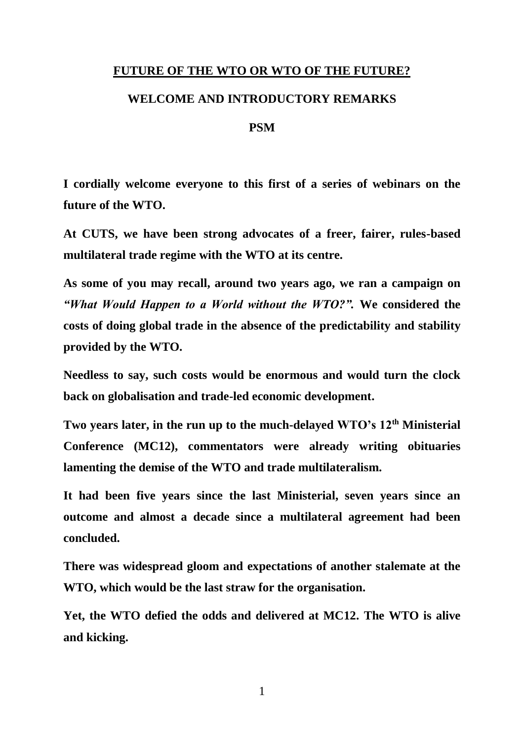## **FUTURE OF THE WTO OR WTO OF THE FUTURE?**

## **WELCOME AND INTRODUCTORY REMARKS**

## **PSM**

**I cordially welcome everyone to this first of a series of webinars on the future of the WTO.** 

**At CUTS, we have been strong advocates of a freer, fairer, rules-based multilateral trade regime with the WTO at its centre.**

**As some of you may recall, around two years ago, we ran a campaign on**  *"What Would Happen to a World without the WTO?".* **We considered the costs of doing global trade in the absence of the predictability and stability provided by the WTO.**

**Needless to say, such costs would be enormous and would turn the clock back on globalisation and trade-led economic development.** 

**Two years later, in the run up to the much-delayed WTO's 12th Ministerial Conference (MC12), commentators were already writing obituaries lamenting the demise of the WTO and trade multilateralism.**

**It had been five years since the last Ministerial, seven years since an outcome and almost a decade since a multilateral agreement had been concluded.** 

**There was widespread gloom and expectations of another stalemate at the WTO, which would be the last straw for the organisation.** 

**Yet, the WTO defied the odds and delivered at MC12. The WTO is alive and kicking.** 

1